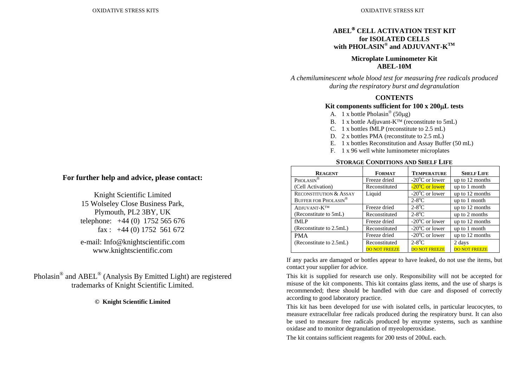# **ABEL**® **CELL ACTIVATION TEST KIT for ISOLATED CELLSwith PHOLASIN® and ADJUVANT-KTM**

### **Microplate Luminometer Kit ABEL-10M**

*A chemiluminescent whole blood test for measuring free radicals produced during the respiratory burst and degranulation* 

# **CONTENTS**

## **Kit components sufficient for 100 x 200**μ**L tests**

- A. 1 x bottle Pholasin<sup>®</sup> (50µg)
- B. 1 x bottle Adjuvant-K<sup>™</sup> (reconstitute to 5mL)
- C. 1 x bottles fMLP (reconstitute to 2.5 mL)
- D. 2 x bottles PMA (reconstitute to 2.5 mL)
- E. 1 x bottles Reconstitution and Assay Buffer (50 mL)
- F. 1 x 96 well white luminometer microplates

#### **STORAGE CONDITIONS AND SHELF LIFE**

| <b>REAGENT</b>                         | <b>FORMAT</b>        | <b>TEMPERATURE</b>            | <b>SHELF LIFE</b>    |
|----------------------------------------|----------------------|-------------------------------|----------------------|
| PHOLASIN <sup>®</sup>                  | Freeze dried         | $-20^{\circ}$ C or lower      | up to 12 months      |
| (Cell Activation)                      | Reconstituted        | $-20$ <sup>o</sup> C or lower | up to 1 month        |
| <b>RECONSTITUTION &amp; ASSAY</b>      | Liquid               | $-20^{\circ}$ C or lower      | up to 12 months      |
| <b>BUFFER FOR PHOLASIN<sup>®</sup></b> |                      | $2-8$ °C                      | up to 1 month        |
| ADJUVANT-K <sup>TM</sup>               | Freeze dried         | $2-8$ <sup>o</sup> C          | up to 12 months      |
| (Reconstitute to 5mL)                  | Reconstituted        | $2-8$ °C                      | up to 2 months       |
| fMLP                                   | Freeze dried         | $-20^{\circ}$ C or lower      | up to 12 months      |
| (Reconstitute to 2.5mL)                | Reconstituted        | $-20^{\circ}$ C or lower      | up to 1 month        |
| <b>PMA</b>                             | Freeze dried         | $-20^{\circ}$ C or lower      | up to 12 months      |
| (Reconstitute to 2.5mL)                | Reconstituted        | $2-8$ °C                      | 2 days               |
|                                        | <b>DO NOT FREEZE</b> | <b>DO NOT FREEZE</b>          | <b>DO NOT FREEZE</b> |

If any packs are damaged or bottles appear to have leaked, do not use the items, but contact your supplier for advice.

This kit is supplied for research use only. Responsibility will not be accepted for misuse of the kit components. This kit contains glass items, and the use of sharps is recommended; these should be handled with due care and disposed of correctly according to good laboratory practice.

This kit has been developed for use with isolated cells, in particular leucocytes, to measure extracellular free radicals produced during the respiratory burst. It can also be used to measure free radicals produced by enzyme systems, such as xanthine oxidase and to monitor degranulation of myeoloperoxidase.

The kit contains sufficient reagents for 200 tests of 200uL each.

# **For further help and advice, please contact:**

Knight Scientific Limited 15 Wolseley Close Business Park, Plymouth, PL2 3BY, UK telephone: +44 (0) 1752 565 676 fax :  $+44$  (0) 1752 561 672

e-mail: Info@knightscientific.com www.knightscientific.com

Pholasin® and ABEL® (Analysis By Emitted Light) are registered trademarks of Knight Scientific Limited.

**© Knight Scientific Limited**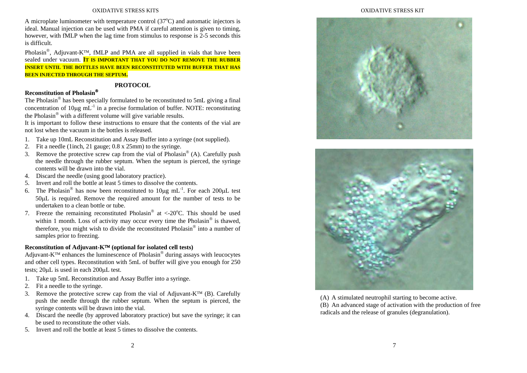#### OXIDATIVE STRESS KITS

A microplate luminometer with temperature control  $(37^{\circ}C)$  and automatic injectors is ideal. Manual injection can be used with PMA if careful attention is given to timing, however, with fMLP when the lag time from stimulus to response is 2-5 seconds this is difficult.

Pholasin<sup>®</sup>, Adjuvant-K™, fMLP and PMA are all supplied in vials that have been sealed under vacuum. **IT IS IMPORTANT THAT YOU DO NOT REMOVE THE RUBBER INSERT UNTIL THE BOTTLES HAVE BEEN RECONSTITUTED WITH BUFFER THAT HAS BEEN INJECTED THROUGH THE SEPTUM.** 

#### **PROTOCOL**

## **Reconstitution of Pholasin**®

The Pholasin® has been specially formulated to be reconstituted to 5mL giving a final concentration of  $10\mu$ g mL<sup>-1</sup> in a precise formulation of buffer. NOTE: reconstituting the Pholasin® with a different volume will give variable results.

It is important to follow these instructions to ensure that the contents of the vial are not lost when the vacuum in the bottles is released.

- 1. Take up 10mL Reconstitution and Assay Buffer into a syringe (not supplied).
- 2. Fit a needle (1inch, 21 gauge; 0.8 x 25mm) to the syringe.
- 3. Remove the protective screw cap from the vial of Pholasin<sup>®</sup> (A). Carefully push the needle through the rubber septum. When the septum is pierced, the syringe contents will be drawn into the vial.
- 4. Discard the needle (using good laboratory practice).
- 5. Invert and roll the bottle at least 5 times to dissolve the contents.
- 6. The Pholasin<sup>®</sup> has now been reconstituted to  $10\mu$ g mL<sup>-1</sup>. For each 200 $\mu$ L test 50μL is required. Remove the required amount for the number of tests to be undertaken to a clean bottle or tube.
- 7. Freeze the remaining reconstituted Pholasin<sup>®</sup> at <-20 $^{\circ}$ C. This should be used within 1 month. Loss of activity may occur every time the Pholasin<sup>®</sup> is thawed, therefore, you might wish to divide the reconstituted Pholasin® into a number of samples prior to freezing.

# **Reconstitution of Adjuvant-K**™ **(optional for isolated cell tests)**

Adjuvant-K™ enhances the luminescence of Pholasin<sup>®</sup> during assays with leucocytes and other cell types. Reconstitution with 5mL of buffer will give you enough for 250 tests; 20μL is used in each 200μL test.

- 1. Take up 5mL Reconstitution and Assay Buffer into a syringe.
- 2. Fit a needle to the syringe.
- 3. Remove the protective screw cap from the vial of Adjuvant-K<sup>™</sup> (B). Carefully push the needle through the rubber septum. When the septum is pierced, the syringe contents will be drawn into the vial.
- 4. Discard the needle (by approved laboratory practice) but save the syringe; it can be used to reconstitute the other vials.
- 5. Invert and roll the bottle at least 5 times to dissolve the contents.

#### OXIDATIVE STRESS KIT





(A) A stimulated neutrophil starting to become active. (B) An advanced stage of activation with the production of free radicals and the release of granules (degranulation).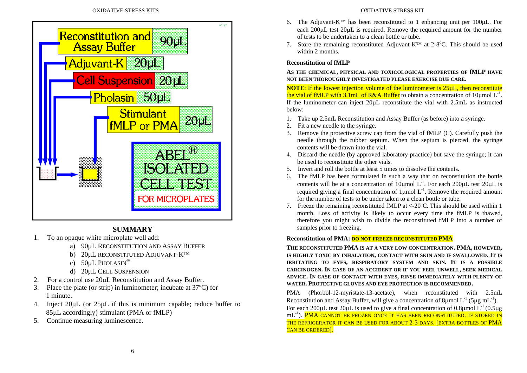

# **SUMMARY**

- 1. To an opaque white microplate well add:
	- a) 90μL RECONSTITUTION AND ASSAY BUFFER
	- b) 20μL RECONSTITUTED ADJUVANT-K<sup>™</sup>
	- c) 50μL PHOLASIN<sup>®</sup>
	- d) 20μL CELL SUSPENSION
- 2.For a control use 20μL Reconstitution and Assay Buffer.
- 3. Place the plate (or strip) in luminometer; incubate at  $37^{\circ}$ C) for 1 minute.
- 4. Inject 20μL (or 25μL if this is minimum capable; reduce buffer to 85μL accordingly) stimulant (PMA or fMLP)
- 5. Continue measuring luminescence.

#### OXIDATIVE STRESS KIT

- 6. The Adjuvant-K<sup>™</sup> has been reconstituted to 1 enhancing unit per 100 $\mu$ L. For each 200μL test 20μL is required. Remove the required amount for the number of tests to be undertaken to a clean bottle or tube.
- 7. Store the remaining reconstituted Adjuvant-K<sup>™</sup> at 2-8<sup>o</sup>C. This should be used within 2 months.

# **Reconstitution of fMLP**

**AS THE CHEMICAL, PHYSICAL AND TOXICOLOGICAL PROPERTIES OF fMLP HAVE NOT BEEN THOROUGHLY INVESTIGATED PLEASE EXERCISE DUE CARE.** 

**NOTE:** If the lowest injection volume of the luminometer is 25µL, then reconstitute the vial of fMLP with 3.1mL of R&A Buffer to obtain a concentration of 10µmol  $L^{-1}$ . If the luminometer can inject  $20\mu L$  reconstitute the vial with  $2.5\text{m}$  as instructed below:

- 1. Take up 2.5mL Reconstitution and Assay Buffer (as before) into a syringe.
- 2. Fit a new needle to the syringe.
- 3. Remove the protective screw cap from the vial of fMLP (C). Carefully push the needle through the rubber septum. When the septum is pierced, the syringe contents will be drawn into the vial.
- 4. Discard the needle (by approved laboratory practice) but save the syringe; it can be used to reconstitute the other vials.
- 5. Invert and roll the bottle at least 5 times to dissolve the contents.
- 6. The fMLP has been formulated in such a way that on reconstitution the bottle contents will be at a concentration of 10 km L<sup>-1</sup>. For each 200 km Lest 20 km L required giving a final concentration of  $1 \mu$ mol L<sup>-1</sup>. Remove the required amount for the number of tests to be under taken to a clean bottle or tube.
- 7. Freeze the remaining reconstituted fMLP at  $\langle 20^{\circ}$ C. This should be used within 1 month. Loss of activity is likely to occur every time the fMLP is thawed, therefore you might wish to divide the reconstituted fMLP into a number of samples prior to freezing.

# **Reconstitution of PMA: DO NOT FREEZE RECONSTITUTED PMA**

**THE RECONSTITUTED PMA IS AT A VERY LOW CONCENTRATION. PMA, HOWEVER, IS HIGHLY TOXIC BY INHALATION, CONTACT WITH SKIN AND IF SWALLOWED. IT IS IRRITATING TO EYES, RESPIRATORY SYSTEM AND SKIN. IT IS A POSSIBLE CARCINOGEN. IN CASE OF AN ACCIDENT OR IF YOU FEEL UNWELL, SEEK MEDICAL ADVICE. IN CASE OF CONTACT WITH EYES, RINSE IMMEDIATELY WITH PLENTY OF WATER. PROTECTIVE GLOVES AND EYE PROTECTION IS RECOMMENDED.** 

PMA (Phorbol-12-myristate-13-acetate), when reconstituted with 2.5mL Reconstitution and Assay Buffer, will give a concentration of 8μmol L<sup>-1</sup> (5μg mL<sup>-1</sup>). For each 200μL test 20μL is used to give a final concentration of 0.8μmol  $L^{-1}$  (0.5μg mL<sup>-1</sup>). **PMA CANNOT BE FROZEN ONCE IT HAS BEEN RECONSTITUTED. IF STORED IN** THE REFRIGERATOR IT CAN BE USED FOR ABOUT 2-3 DAYS. [EXTRA BOTTLES OF PMA CAN BE ORDERED].